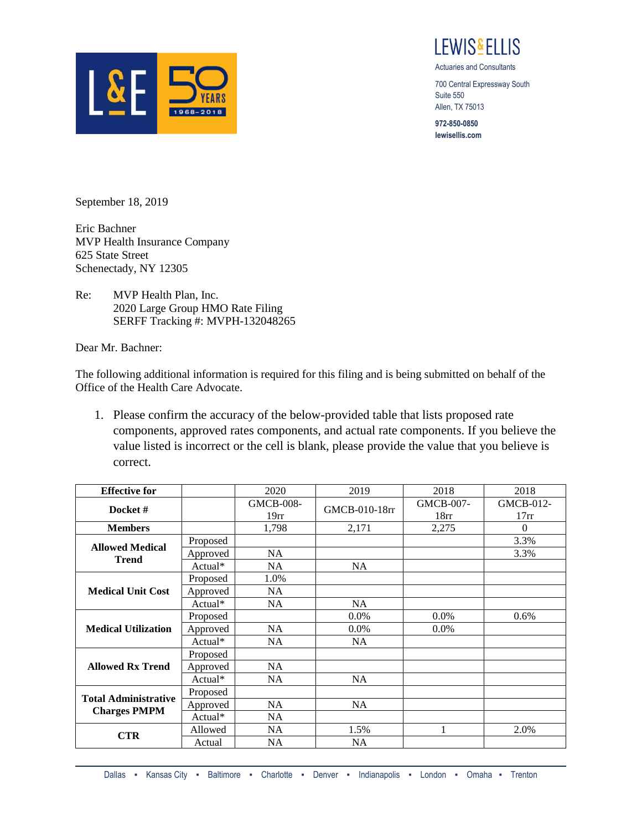

I FWIS&FI LIS

Actuaries and Consultants

700 Central Expressway South Suite 550 Allen, TX 75013

**972-850-0850 lewisellis.com**

September 18, 2019

Eric Bachner MVP Health Insurance Company 625 State Street Schenectady, NY 12305

Re: MVP Health Plan, Inc. 2020 Large Group HMO Rate Filing SERFF Tracking #: MVPH-132048265

Dear Mr. Bachner:

The following additional information is required for this filing and is being submitted on behalf of the Office of the Health Care Advocate.

1. Please confirm the accuracy of the below-provided table that lists proposed rate components, approved rates components, and actual rate components. If you believe the value listed is incorrect or the cell is blank, please provide the value that you believe is correct.

| <b>Effective for</b>                               |          | 2020                                 | 2019          | 2018              | 2018              |
|----------------------------------------------------|----------|--------------------------------------|---------------|-------------------|-------------------|
| Docket#                                            |          | <b>GMCB-008-</b><br>19 <sub>rr</sub> | GMCB-010-18rr | GMCB-007-<br>18rr | GMCB-012-<br>17rr |
| <b>Members</b>                                     |          | 1,798                                | 2,171         | 2,275             | $\Omega$          |
| <b>Allowed Medical</b><br><b>Trend</b>             | Proposed |                                      |               |                   | 3.3%              |
|                                                    | Approved | <b>NA</b>                            |               |                   | 3.3%              |
|                                                    | Actual*  | <b>NA</b>                            | <b>NA</b>     |                   |                   |
| <b>Medical Unit Cost</b>                           | Proposed | 1.0%                                 |               |                   |                   |
|                                                    | Approved | <b>NA</b>                            |               |                   |                   |
|                                                    | Actual*  | <b>NA</b>                            | <b>NA</b>     |                   |                   |
| <b>Medical Utilization</b>                         | Proposed |                                      | 0.0%          | 0.0%              | 0.6%              |
|                                                    | Approved | <b>NA</b>                            | $0.0\%$       | $0.0\%$           |                   |
|                                                    | Actual*  | NA                                   | <b>NA</b>     |                   |                   |
| <b>Allowed Rx Trend</b>                            | Proposed |                                      |               |                   |                   |
|                                                    | Approved | NA                                   |               |                   |                   |
|                                                    | Actual*  | <b>NA</b>                            | <b>NA</b>     |                   |                   |
| <b>Total Administrative</b><br><b>Charges PMPM</b> | Proposed |                                      |               |                   |                   |
|                                                    | Approved | <b>NA</b>                            | NA            |                   |                   |
|                                                    | Actual*  | <b>NA</b>                            |               |                   |                   |
| <b>CTR</b>                                         | Allowed  | <b>NA</b>                            | 1.5%          | 1                 | 2.0%              |
|                                                    | Actual   | NA                                   | <b>NA</b>     |                   |                   |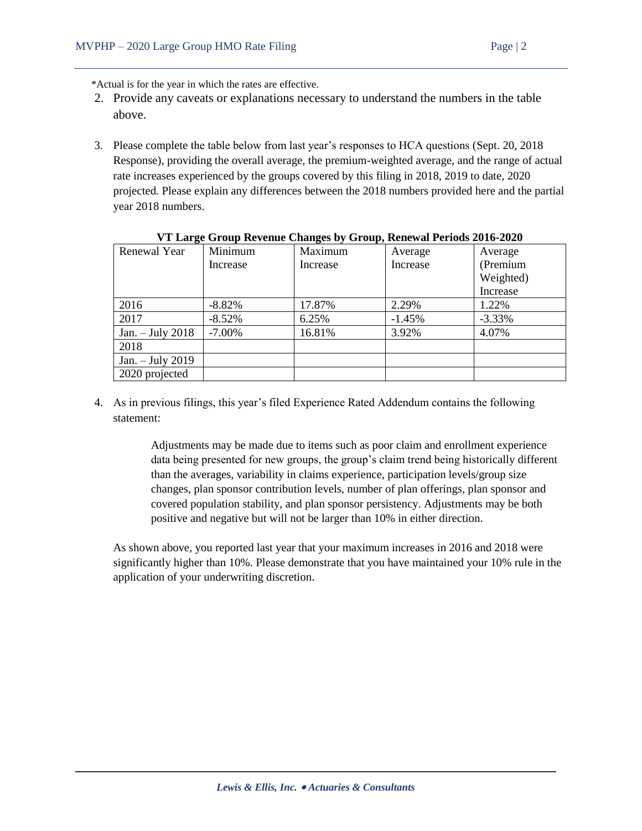\*Actual is for the year in which the rates are effective.

- 2. Provide any caveats or explanations necessary to understand the numbers in the table above.
- 3. Please complete the table below from last year's responses to HCA questions (Sept. 20, 2018 Response), providing the overall average, the premium-weighted average, and the range of actual rate increases experienced by the groups covered by this filing in 2018, 2019 to date, 2020 projected. Please explain any differences between the 2018 numbers provided here and the partial year 2018 numbers.

| ັ<br>Renewal Year  | Minimum   | . .<br>Maximum | Average  | Average   |
|--------------------|-----------|----------------|----------|-----------|
|                    | Increase  | Increase       | Increase | (Premium  |
|                    |           |                |          | Weighted) |
|                    |           |                |          | Increase  |
| 2016               | $-8.82%$  | 17.87%         | 2.29%    | 1.22%     |
| 2017               | $-8.52%$  | 6.25%          | $-1.45%$ | $-3.33%$  |
| Jan. $-$ July 2018 | $-7.00\%$ | 16.81%         | 3.92%    | 4.07%     |
| 2018               |           |                |          |           |
| Jan. $-$ July 2019 |           |                |          |           |
| 2020 projected     |           |                |          |           |

| VT Large Group Revenue Changes by Group, Renewal Periods 2016-2020 |  |  |  |  |
|--------------------------------------------------------------------|--|--|--|--|
|                                                                    |  |  |  |  |

4. As in previous filings, this year's filed Experience Rated Addendum contains the following statement:

> Adjustments may be made due to items such as poor claim and enrollment experience data being presented for new groups, the group's claim trend being historically different than the averages, variability in claims experience, participation levels/group size changes, plan sponsor contribution levels, number of plan offerings, plan sponsor and covered population stability, and plan sponsor persistency. Adjustments may be both positive and negative but will not be larger than 10% in either direction.

As shown above, you reported last year that your maximum increases in 2016 and 2018 were significantly higher than 10%. Please demonstrate that you have maintained your 10% rule in the application of your underwriting discretion.